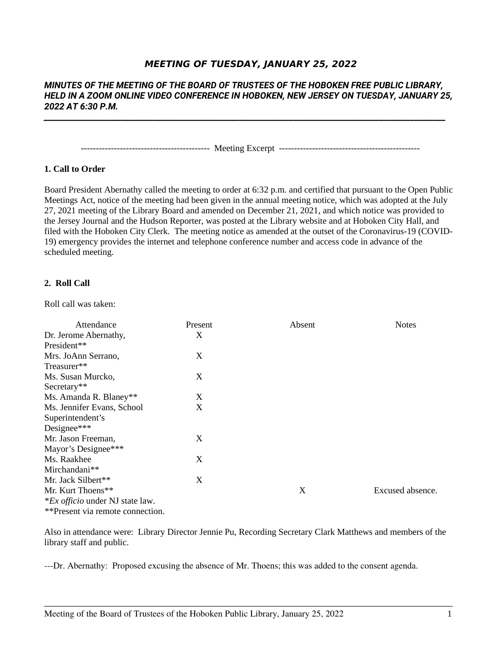# **MEETING OF TUESDAY, JANUARY 25, 2022**

## *MINUTES OF THE MEETING OF THE BOARD OF TRUSTEES OF THE HOBOKEN FREE PUBLIC LIBRARY, HELD IN A ZOOM ONLINE VIDEO CONFERENCE IN HOBOKEN, NEW JERSEY ON TUESDAY, JANUARY 25, 2022 AT 6:30 P.M.*

*\_\_\_\_\_\_\_\_\_\_\_\_\_\_\_\_\_\_\_\_\_\_\_\_\_\_\_\_\_\_\_\_\_\_\_\_\_\_\_\_\_\_\_\_\_\_\_\_\_\_\_\_\_\_\_\_\_\_\_\_\_\_\_\_\_\_\_\_\_\_\_\_\_\_\_\_\_\_\_\_\_\_\_\_\_\_\_\_\_\_\_\_\_\_\_\_\_\_\_\_\_\_\_*

------------------------------------------- Meeting Excerpt -----------------------------------------------

## **1. Call to Order**

Board President Abernathy called the meeting to order at 6:32 p.m. and certified that pursuant to the Open Public Meetings Act, notice of the meeting had been given in the annual meeting notice, which was adopted at the July 27, 2021 meeting of the Library Board and amended on December 21, 2021, and which notice was provided to the Jersey Journal and the Hudson Reporter, was posted at the Library website and at Hoboken City Hall, and filed with the Hoboken City Clerk. The meeting notice as amended at the outset of the Coronavirus-19 (COVID-19) emergency provides the internet and telephone conference number and access code in advance of the scheduled meeting.

### **2. Roll Call**

Roll call was taken:

| Attendance                             | Present | Absent | <b>Notes</b>     |
|----------------------------------------|---------|--------|------------------|
| Dr. Jerome Abernathy,                  | X       |        |                  |
| President**                            |         |        |                  |
| Mrs. JoAnn Serrano,                    | X       |        |                  |
| Treasurer**                            |         |        |                  |
| Ms. Susan Murcko,                      | X       |        |                  |
| Secretary**                            |         |        |                  |
| Ms. Amanda R. Blaney**                 | X       |        |                  |
| Ms. Jennifer Evans, School             | X       |        |                  |
| Superintendent's                       |         |        |                  |
| Designee***                            |         |        |                  |
| Mr. Jason Freeman,                     | X       |        |                  |
| Mayor's Designee***                    |         |        |                  |
| Ms. Raakhee                            | X       |        |                  |
| Mirchandani**                          |         |        |                  |
| Mr. Jack Silbert**                     | X       |        |                  |
| Mr. Kurt Thoens**                      |         | X      | Excused absence. |
| <i>*Ex officio</i> under NJ state law. |         |        |                  |
| **Present via remote connection.       |         |        |                  |

Also in attendance were: Library Director Jennie Pu, Recording Secretary Clark Matthews and members of the library staff and public.

\_\_\_\_\_\_\_\_\_\_\_\_\_\_\_\_\_\_\_\_\_\_\_\_\_\_\_\_\_\_\_\_\_\_\_\_\_\_\_\_\_\_\_\_\_\_\_\_\_\_\_\_\_\_\_\_\_\_\_\_\_\_\_\_\_\_\_\_\_\_\_\_\_\_\_\_\_\_\_\_\_\_\_

---Dr. Abernathy: Proposed excusing the absence of Mr. Thoens; this was added to the consent agenda.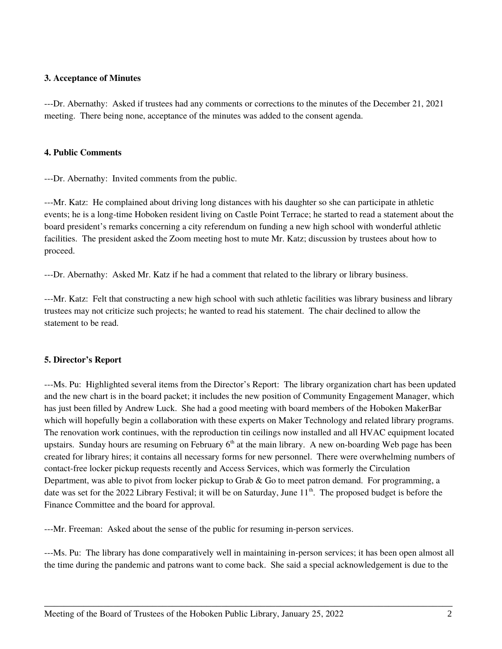## **3. Acceptance of Minutes**

---Dr. Abernathy: Asked if trustees had any comments or corrections to the minutes of the December 21, 2021 meeting. There being none, acceptance of the minutes was added to the consent agenda.

### **4. Public Comments**

---Dr. Abernathy: Invited comments from the public.

---Mr. Katz: He complained about driving long distances with his daughter so she can participate in athletic events; he is a long-time Hoboken resident living on Castle Point Terrace; he started to read a statement about the board president's remarks concerning a city referendum on funding a new high school with wonderful athletic facilities. The president asked the Zoom meeting host to mute Mr. Katz; discussion by trustees about how to proceed.

---Dr. Abernathy: Asked Mr. Katz if he had a comment that related to the library or library business.

---Mr. Katz: Felt that constructing a new high school with such athletic facilities was library business and library trustees may not criticize such projects; he wanted to read his statement. The chair declined to allow the statement to be read.

### **5. Director's Report**

---Ms. Pu: Highlighted several items from the Director's Report: The library organization chart has been updated and the new chart is in the board packet; it includes the new position of Community Engagement Manager, which has just been filled by Andrew Luck. She had a good meeting with board members of the Hoboken MakerBar which will hopefully begin a collaboration with these experts on Maker Technology and related library programs. The renovation work continues, with the reproduction tin ceilings now installed and all HVAC equipment located upstairs. Sunday hours are resuming on February  $6<sup>th</sup>$  at the main library. A new on-boarding Web page has been created for library hires; it contains all necessary forms for new personnel. There were overwhelming numbers of contact-free locker pickup requests recently and Access Services, which was formerly the Circulation Department, was able to pivot from locker pickup to Grab & Go to meet patron demand. For programming, a date was set for the 2022 Library Festival; it will be on Saturday, June 11<sup>th</sup>. The proposed budget is before the Finance Committee and the board for approval.

---Mr. Freeman: Asked about the sense of the public for resuming in-person services.

---Ms. Pu: The library has done comparatively well in maintaining in-person services; it has been open almost all the time during the pandemic and patrons want to come back. She said a special acknowledgement is due to the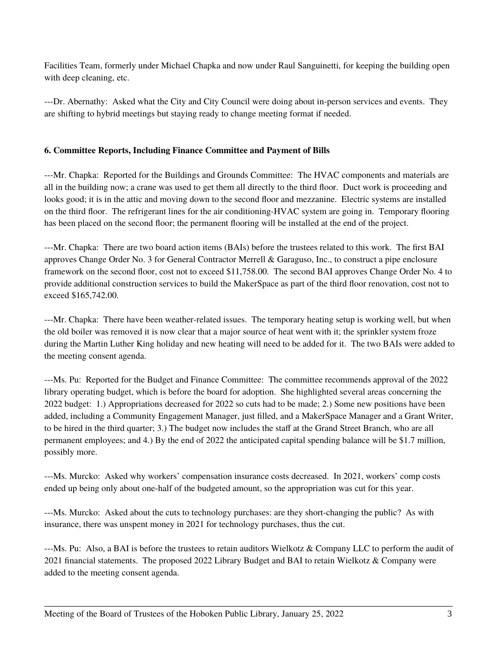Facilities Team, formerly under Michael Chapka and now under Raul Sanguinetti, for keeping the building open with deep cleaning, etc.

---Dr. Abernathy: Asked what the City and City Council were doing about in-person services and events. They are shifting to hybrid meetings but staying ready to change meeting format if needed.

## **6. Committee Reports, Including Finance Committee and Payment of Bills**

---Mr. Chapka: Reported for the Buildings and Grounds Committee: The HVAC components and materials are all in the building now; a crane was used to get them all directly to the third floor. Duct work is proceeding and looks good; it is in the attic and moving down to the second floor and mezzanine. Electric systems are installed on the third floor. The refrigerant lines for the air conditioning-HVAC system are going in. Temporary flooring has been placed on the second floor; the permanent flooring will be installed at the end of the project.

---Mr. Chapka: There are two board action items (BAIs) before the trustees related to this work. The first BAI approves Change Order No. 3 for General Contractor Merrell & Garaguso, Inc., to construct a pipe enclosure framework on the second floor, cost not to exceed \$11,758.00. The second BAI approves Change Order No. 4 to provide additional construction services to build the MakerSpace as part of the third floor renovation, cost not to exceed \$165,742.00.

---Mr. Chapka: There have been weather-related issues. The temporary heating setup is working well, but when the old boiler was removed it is now clear that a major source of heat went with it; the sprinkler system froze during the Martin Luther King holiday and new heating will need to be added for it. The two BAIs were added to the meeting consent agenda.

---Ms. Pu: Reported for the Budget and Finance Committee: The committee recommends approval of the 2022 library operating budget, which is before the board for adoption. She highlighted several areas concerning the 2022 budget: 1.) Appropriations decreased for 2022 so cuts had to be made; 2.) Some new positions have been added, including a Community Engagement Manager, just filled, and a MakerSpace Manager and a Grant Writer, to be hired in the third quarter; 3.) The budget now includes the staff at the Grand Street Branch, who are all permanent employees; and 4.) By the end of 2022 the anticipated capital spending balance will be \$1.7 million, possibly more.

---Ms. Murcko: Asked why workers' compensation insurance costs decreased. In 2021, workers' comp costs ended up being only about one-half of the budgeted amount, so the appropriation was cut for this year.

---Ms. Murcko: Asked about the cuts to technology purchases: are they short-changing the public? As with insurance, there was unspent money in 2021 for technology purchases, thus the cut.

---Ms. Pu: Also, a BAI is before the trustees to retain auditors Wielkotz & Company LLC to perform the audit of 2021 financial statements. The proposed 2022 Library Budget and BAI to retain Wielkotz & Company were added to the meeting consent agenda.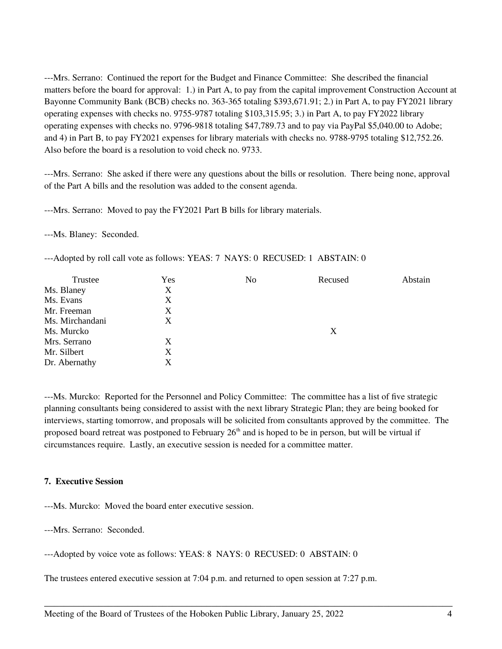---Mrs. Serrano: Continued the report for the Budget and Finance Committee: She described the financial matters before the board for approval: 1.) in Part A, to pay from the capital improvement Construction Account at Bayonne Community Bank (BCB) checks no. 363-365 totaling \$393,671.91; 2.) in Part A, to pay FY2021 library operating expenses with checks no. 9755-9787 totaling \$103,315.95; 3.) in Part A, to pay FY2022 library operating expenses with checks no. 9796-9818 totaling \$47,789.73 and to pay via PayPal \$5,040.00 to Adobe; and 4) in Part B, to pay FY2021 expenses for library materials with checks no. 9788-9795 totaling \$12,752.26. Also before the board is a resolution to void check no. 9733.

---Mrs. Serrano: She asked if there were any questions about the bills or resolution. There being none, approval of the Part A bills and the resolution was added to the consent agenda.

---Mrs. Serrano: Moved to pay the FY2021 Part B bills for library materials.

---Ms. Blaney: Seconded.

---Adopted by roll call vote as follows: YEAS: 7 NAYS: 0 RECUSED: 1 ABSTAIN: 0

| Trustee         | Yes | No | Recused | Abstain |
|-----------------|-----|----|---------|---------|
| Ms. Blaney      | X   |    |         |         |
| Ms. Evans       | X   |    |         |         |
| Mr. Freeman     | X   |    |         |         |
| Ms. Mirchandani | X   |    |         |         |
| Ms. Murcko      |     |    | X       |         |
| Mrs. Serrano    | X   |    |         |         |
| Mr. Silbert     | X   |    |         |         |
| Dr. Abernathy   | X   |    |         |         |

---Ms. Murcko: Reported for the Personnel and Policy Committee: The committee has a list of five strategic planning consultants being considered to assist with the next library Strategic Plan; they are being booked for interviews, starting tomorrow, and proposals will be solicited from consultants approved by the committee. The proposed board retreat was postponed to February 26<sup>th</sup> and is hoped to be in person, but will be virtual if circumstances require. Lastly, an executive session is needed for a committee matter.

\_\_\_\_\_\_\_\_\_\_\_\_\_\_\_\_\_\_\_\_\_\_\_\_\_\_\_\_\_\_\_\_\_\_\_\_\_\_\_\_\_\_\_\_\_\_\_\_\_\_\_\_\_\_\_\_\_\_\_\_\_\_\_\_\_\_\_\_\_\_\_\_\_\_\_\_\_\_\_\_\_\_\_

### **7. Executive Session**

---Ms. Murcko: Moved the board enter executive session.

---Mrs. Serrano: Seconded.

---Adopted by voice vote as follows: YEAS: 8 NAYS: 0 RECUSED: 0 ABSTAIN: 0

The trustees entered executive session at 7:04 p.m. and returned to open session at 7:27 p.m.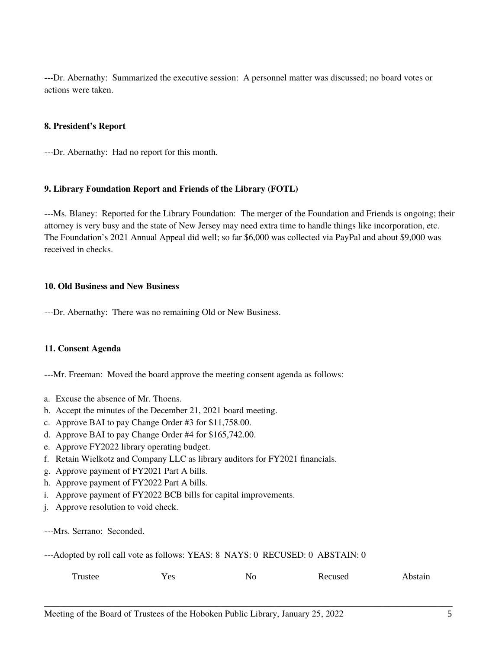---Dr. Abernathy: Summarized the executive session: A personnel matter was discussed; no board votes or actions were taken.

## **8. President's Report**

---Dr. Abernathy: Had no report for this month.

### **9. Library Foundation Report and Friends of the Library (FOTL)**

---Ms. Blaney: Reported for the Library Foundation: The merger of the Foundation and Friends is ongoing; their attorney is very busy and the state of New Jersey may need extra time to handle things like incorporation, etc. The Foundation's 2021 Annual Appeal did well; so far \$6,000 was collected via PayPal and about \$9,000 was received in checks.

## **10. Old Business and New Business**

---Dr. Abernathy: There was no remaining Old or New Business.

### **11. Consent Agenda**

---Mr. Freeman: Moved the board approve the meeting consent agenda as follows:

- a. Excuse the absence of Mr. Thoens.
- b. Accept the minutes of the December 21, 2021 board meeting.
- c. Approve BAI to pay Change Order #3 for \$11,758.00.
- d. Approve BAI to pay Change Order #4 for \$165,742.00.
- e. Approve FY2022 library operating budget.
- f. Retain Wielkotz and Company LLC as library auditors for FY2021 financials.
- g. Approve payment of FY2021 Part A bills.
- h. Approve payment of FY2022 Part A bills.
- i. Approve payment of FY2022 BCB bills for capital improvements.
- j. Approve resolution to void check.
- ---Mrs. Serrano: Seconded.

---Adopted by roll call vote as follows: YEAS: 8 NAYS: 0 RECUSED: 0 ABSTAIN: 0

| Trustee | Υ Ας<br>ັບ | No | Recused | Abstain |
|---------|------------|----|---------|---------|
|---------|------------|----|---------|---------|